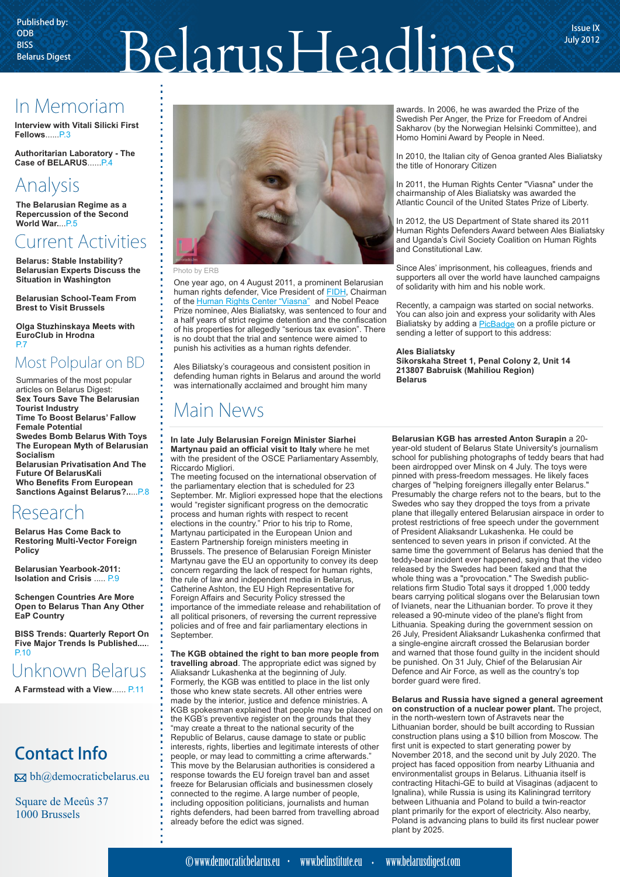# $\text{BPSB}_{\text{Blars}}$  Belarus Digest Belarus Digest  $\text{Belaus}_\text{Blag}$  Belarus Digest

July 2012

## In Memoriam

**Interview with Vitali Silicki First Fellows** ...... P.3

**Authoritarian Laboratory - The Case of BELARUS** ...... P.4

## Analysis

**The Belarusian Regime as a Repercussion of the Second World War.**...P.5

## Current Activities

**Belarus: Stable Instability? Belarusian Experts Discuss the Situation in Washington**

**Belarusian School-Team From Brest to Visit Brussels**

**Olga Stuzhinskaya Meets with EuroClub in Hrodna** D<sub>7</sub>

### Most Polpular on BD

Summaries of the most popular articles on Belarus Digest: **Sex Tours Save The Belarusian Tourist Industry Time To Boost Belarus' Fallow Female Potential Swedes Bomb Belarus With Toys The European Myth of Belarusian Socialism Belarusian Privatisation And The Future Of BelarusKali Who Benefits From European Sanctions Against Belarus?..**...P.8

### Research

**Belarus Has Come Back to Restoring Multi-Vector Foreign Policy**

**Belarusian Yearbook-2011: Isolation and Crisis** ..... P.9

**Schengen Countries Are More Open to Belarus Than Any Other EaP Country** 

**BISS Trends: Quarterly Report On Five Major Trends Is Published....**. P.10

## Unknown Belarus

**A Farmstead with a View**...... P.11

## Contact Info

 $\boxtimes$  bh@democraticbelarus.eu

Square de Meeûs 37 1000 Brussels



#### Photo by ERB

One year ago, on 4 August 2011, a prominent Belarusian humanrights defender, Vice President of **FIDH**, Chairman ofthe Human Rights Center "Viasna" and Nobel Peace Prize nominee, Ales Bialiatsky, was sentenced to four and a half years of strict regime detention and the confiscation of his properties for allegedly "serious tax evasion". There is no doubt that the trial and sentence were aimed to punish his activities as a human rights defender.

Ales Biliatsky's courageous and consistent position in defending human rights in Belarus and around the world was internationally acclaimed and brought him many

## Main News

**In late July Belarusian Foreign Minister Siarhei Martynau paid an official visit to Italy** where he met with the president of the OSCE Parliamentary Assembly, Riccardo Migliori.

The meeting focused on the international observation of the parliamentary election that is scheduled for 23 September. Mr. Migliori expressed hope that the elections would "register significant progress on the democratic process and human rights with respect to recent elections in the country." Prior to his trip to Rome, Martynau participated in the European Union and Eastern Partnership foreign ministers meeting in Brussels. The presence of Belarusian Foreign Minister Martynau gave the EU an opportunity to convey its deep concern regarding the lack of respect for human rights, the rule of law and independent media in Belarus, Catherine Ashton, the EU High Representative for Foreign Affairs and Security Policy stressed the importance of the immediate release and rehabilitation of all political prisoners, of reversing the current repressive policies and of free and fair parliamentary elections in .<br>Sentember

**The KGB obtained the right to ban more people from travelling abroad**. The appropriate edict was signed by Aliaksandr Lukashenka at the beginning of July. Formerly, the KGB was entitled to place in the list only those who knew state secrets. All other entries were made by the interior, justice and defence ministries. A KGB spokesman explained that people may be placed on the KGB's preventive register on the grounds that they "may create a threat to the national security of the Republic of Belarus, cause damage to state or public interests, rights, liberties and legitimate interests of other people, or may lead to committing a crime afterwards." This move by the Belarusian authorities is considered a response towards the EU foreign travel ban and asset freeze for Belarusian officials and businessmen closely connected to the regime. A large number of people, including opposition politicians, journalists and human rights defenders, had been barred from travelling abroad already before the edict was signed.

awards. In 2006, he was awarded the Prize of the Swedish Per Anger, the Prize for Freedom of Andrei Sakharov (by the Norwegian Helsinki Committee), and Homo Homini Award by People in Need.

In 2010, the Italian city of Genoa granted Ales Bialiatsky the title of Honorary Citizen

In 2011, the Human Rights Center "Viasna" under the chairmanship of Ales Bialiatsky was awarded the Atlantic Council of the United States Prize of Liberty.

In 2012, the US Department of State shared its 2011 Human Rights Defenders Award between Ales Bialiatsky and Uganda's Civil Society Coalition on Human Rights and Constitutional Law.

Since Ales' imprisonment, his colleagues, friends and supporters all over the world have launched campaigns of solidarity with him and his noble work.

Recently, a campaign was started on social networks. You can also join and express your solidarity with Ales Bialiatsky by adding a **[PicBadge](http://www.picbadges.com/tag/ales-bialiatsky/)** on a profile picture or sending a letter of support to this address:

#### **Ales Bialiatsky Sikorskaha Street 1, Penal Colony 2, Unit 14 213807 Babruisk (Mahiliou Region) Belarus**

**Belarusian KGB has arrested Anton Surapin** a 20 year-old student of Belarus State University's journalism school for publishing photographs of teddy bears that had been airdropped over Minsk on 4 July. The toys were pinned with press-freedom messages. He likely faces charges of "helping foreigners illegally enter Belarus." Presumably the charge refers not to the bears, but to the Swedes who say they dropped the toys from a private plane that illegally entered Belarusian airspace in order to protest restrictions of free speech under the government of President Aliaksandr Lukashenka. He could be sentenced to seven years in prison if convicted. At the same time the government of Belarus has denied that the teddy-bear incident ever happened, saying that the video released by the Swedes had been faked and that the whole thing was a "provocation." The Swedish publicrelations firm Studio Total says it dropped 1,000 teddy bears carrying political slogans over the Belarusian town of Ivianets, near the Lithuanian border. To prove it they released a 90-minute video of the plane's flight from Lithuania. Speaking during the government session on 26 July, President Aliaksandr Lukashenka confirmed that a single-engine aircraft crossed the Belarusian border and warned that those found guilty in the incident should be punished. On 31 July, Chief of the Belarusian Air Defence and Air Force, as well as the country's top border guard were fired.

**Belarus and Russia have signed a general agreement on construction of a nuclear power plant.** The project, in the north-western town of Astravets near the Lithuanian border, should be built according to Russian construction plans using a \$10 billion from Moscow. The first unit is expected to start generating power by November 2018, and the second unit by July 2020. The project has faced opposition from nearby Lithuania and environmentalist groups in Belarus. Lithuania itself is contracting Hitachi-GE to build at Visaginas (adjacent to Ignalina), while Russia is using its Kaliningrad territory between Lithuania and Poland to build a twin-reactor plant primarily for the export of electricity. Also nearby, Poland is advancing plans to build its first nuclear power plant by 2025.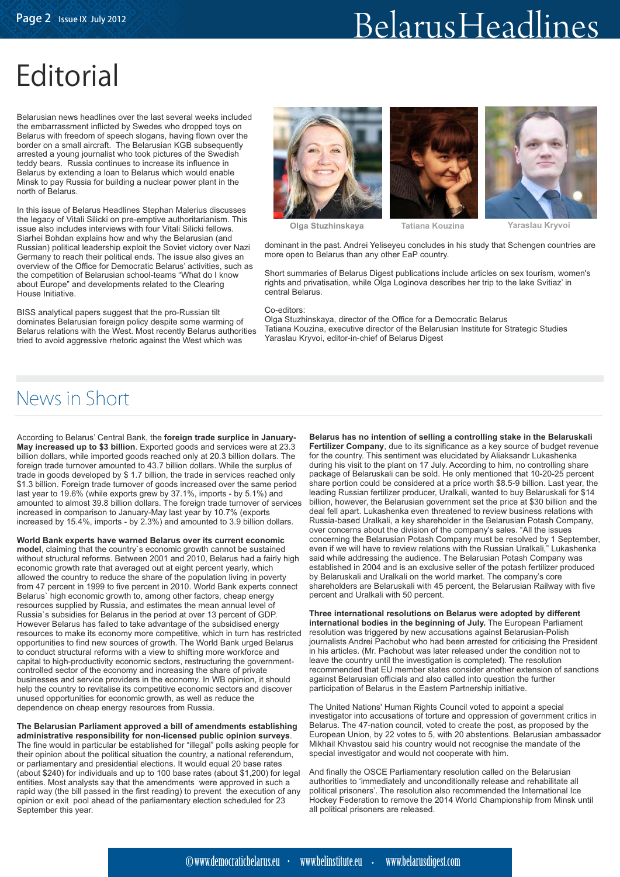## **Editorial**

Belarusian news headlines over the last several weeks included the embarrassment inflicted by Swedes who dropped toys on Belarus with freedom of speech slogans, having flown over the border on a small aircraft. The Belarusian KGB subsequently arrested a young journalist who took pictures of the Swedish teddy bears. Russia continues to increase its influence in Belarus by extending a loan to Belarus which would enable Minsk to pay Russia for building a nuclear power plant in the north of Belarus.

In this issue of Belarus Headlines Stephan Malerius discusses the legacy of Vitali Silicki on pre-emptive authoritarianism. This issue also includes interviews with four Vitali Silicki fellows. Siarhei Bohdan explains how and why the Belarusian (and Russian) political leadership exploit the Soviet victory over Nazi Germany to reach their political ends. The issue also gives an overview of the Office for Democratic Belarus' activities, such as the competition of Belarusian school-teams "What do I know about Europe" and developments related to the Clearing House Initiative.

BISS analytical papers suggest that the pro-Russian tilt dominates Belarusian foreign policy despite some warming of Belarus relations with the West. Most recently Belarus authorities tried to avoid aggressive rhetoric against the West which was







**Olga Stuzhinskaya Tatiana Kouzina Yaraslau Kryvoi**

dominant in the past. Andrei Yeliseyeu concludes in his study that Schengen countries are more open to Belarus than any other EaP country.

Short summaries of Belarus Digest publications include articles on sex tourism, women's rights and privatisation, while Olga Loginova describes her trip to the lake Svitiaz' in central Belarus.

#### Co-editors:

Olga Stuzhinskaya, director of the Office for a Democratic Belarus Tatiana Kouzina, executive director of the Belarusian Institute for Strategic Studies Yaraslau Kryvoi, editor-in-chief of Belarus Digest

## News in Short

According to Belarus' Central Bank, the **foreign trade surplice in January-May increased up to \$3 billion**. Exported goods and services were at 23.3 billion dollars, while imported goods reached only at 20.3 billion dollars. The foreign trade turnover amounted to 43.7 billion dollars. While the surplus of trade in goods developed by \$ 1.7 billion, the trade in services reached only \$1.3 billion. Foreign trade turnover of goods increased over the same period last year to 19.6% (while exports grew by 37.1%, imports - by 5.1%) and amounted to almost 39.8 billion dollars. The foreign trade turnover of services increased in comparison to January-May last year by 10.7% (exports increased by 15.4%, imports - by 2.3%) and amounted to 3.9 billion dollars.

**World Bank experts have warned Belarus over its current economic model**, claiming that the country`s economic growth cannot be sustained without structural reforms. Between 2001 and 2010, Belarus had a fairly high economic growth rate that averaged out at eight percent yearly, which allowed the country to reduce the share of the population living in poverty from 47 percent in 1999 to five percent in 2010. World Bank experts connect Belarus` high economic growth to, among other factors, cheap energy resources supplied by Russia, and estimates the mean annual level of Russia`s subsidies for Belarus in the period at over 13 percent of GDP. However Belarus has failed to take advantage of the subsidised energy resources to make its economy more competitive, which in turn has restricted opportunities to find new sources of growth. The World Bank urged Belarus to conduct structural reforms with a view to shifting more workforce and capital to high-productivity economic sectors, restructuring the governmentcontrolled sector of the economy and increasing the share of private businesses and service providers in the economy. In WB opinion, it should help the country to revitalise its competitive economic sectors and discover unused opportunities for economic growth, as well as reduce the dependence on cheap energy resources from Russia.

**The Belarusian Parliament approved a bill of amendments establishing administrative responsibility for non-licensed public opinion surveys**. The fine would in particular be established for "illegal" polls asking people for their opinion about the political situation the country, a national referendum, or parliamentary and presidential elections. It would equal 20 base rates (about \$240) for individuals and up to 100 base rates (about \$1,200) for legal entities. Most analysts say that the amendments were approved in such a rapid way (the bill passed in the first reading) to prevent the execution of any opinion or exit pool ahead of the parliamentary election scheduled for 23 September this year.

**Belarus has no intention of selling a controlling stake in the Belaruskali Fertilizer Company**, due to its significance as a key source of budget revenue for the country. This sentiment was elucidated by Aliaksandr Lukashenka during his visit to the plant on 17 July. According to him, no controlling share package of Belaruskali can be sold. He only mentioned that 10-20-25 percent share portion could be considered at a price worth \$8.5-9 billion. Last year, the leading Russian fertilizer producer, Uralkali, wanted to buy Belaruskali for \$14 billion, however, the Belarusian government set the price at \$30 billion and the deal fell apart. Lukashenka even threatened to review business relations with Russia-based Uralkali, a key shareholder in the Belarusian Potash Company, over concerns about the division of the company's sales. "All the issues concerning the Belarusian Potash Company must be resolved by 1 September, even if we will have to review relations with the Russian Uralkali," Lukashenka said while addressing the audience. The Belarusian Potash Company was established in 2004 and is an exclusive seller of the potash fertilizer produced by Belaruskali and Uralkali on the world market. The company's core shareholders are Belaruskali with 45 percent, the Belarusian Railway with five percent and Uralkali with 50 percent.

**Three international resolutions on Belarus were adopted by different international bodies in the beginning of July.** The European Parliament resolution was triggered by new accusations against Belarusian-Polish journalists Andrei Pachobut who had been arrested for criticising the President in his articles. (Mr. Pachobut was later released under the condition not to leave the country until the investigation is completed). The resolution recommended that EU member states consider another extension of sanctions against Belarusian officials and also called into question the further participation of Belarus in the Eastern Partnership initiative.

The United Nations' Human Rights Council voted to appoint a special investigator into accusations of torture and oppression of government critics in Belarus. The 47-nation council, voted to create the post, as proposed by the European Union, by 22 votes to 5, with 20 abstentions. Belarusian ambassador Mikhail Khvastou said his country would not recognise the mandate of the special investigator and would not cooperate with him.

And finally the OSCE Parliamentary resolution called on the Belarusian authorities to 'immediately and unconditionally release and rehabilitate all political prisoners'. The resolution also recommended the International Ice Hockey Federation to remove the 2014 World Championship from Minsk until all political prisoners are released.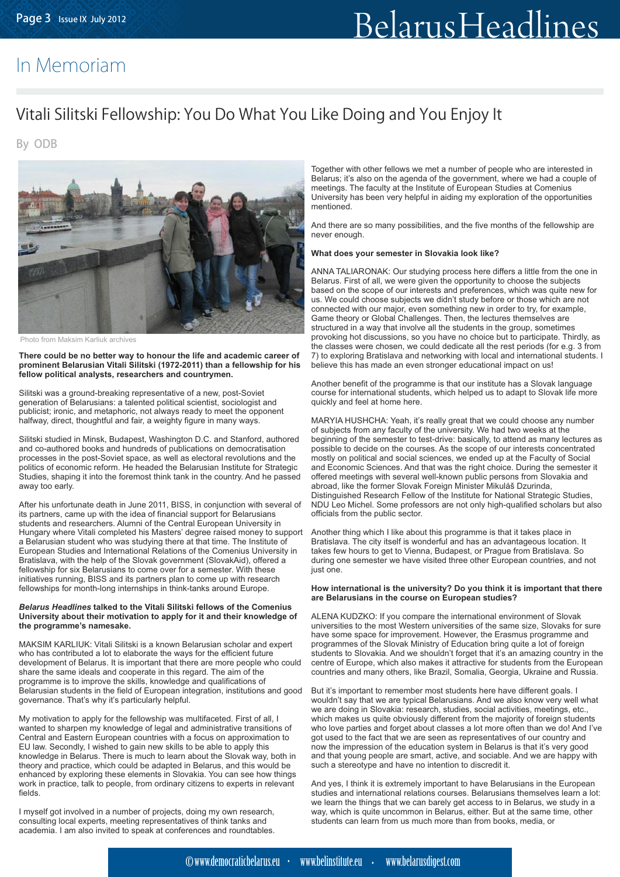## In Memoriam

### Vitali Silitski Fellowship: You Do What You Like Doing and You Enjoy It

By ODB



Photo from Maksim Karliuk archives

**There could be no better way to honour the life and academic career of prominent Belarusian Vitali Silitski (1972-2011) than a fellowship for his fellow political analysts, researchers and countrymen.**

Silitski was a ground-breaking representative of a new, post-Soviet generation of Belarusians: a talented political scientist, sociologist and publicist; ironic, and metaphoric, not always ready to meet the opponent halfway, direct, thoughtful and fair, a weighty figure in many ways.

Silitski studied in Minsk, Budapest, Washington D.C. and Stanford, authored and co-authored books and hundreds of publications on democratisation processes in the post-Soviet space, as well as electoral revolutions and the politics of economic reform. He headed the Belarusian Institute for Strategic Studies, shaping it into the foremost think tank in the country. And he passed away too early.

After his unfortunate death in June 2011, BISS, in conjunction with several of its partners, came up with the idea of financial support for Belarusians students and researchers. Alumni of the Central European University in Hungary where Vitali completed his Masters' degree raised money to support a Belarusian student who was studying there at that time. The Institute of European Studies and International Relations of the Comenius University in Bratislava, with the help of the Slovak government (SlovakAid), offered a fellowship for six Belarusians to come over for a semester. With these initiatives running, BISS and its partners plan to come up with research fellowships for month-long internships in think-tanks around Europe.

#### *Belarus Headlines* **talked to the Vitali Silitski fellows of the Comenius University about their motivation to apply for it and their knowledge of the programme's namesake.**

MAKSIM KARLIUK: Vitali Silitski is a known Belarusian scholar and expert who has contributed a lot to elaborate the ways for the efficient future development of Belarus. It is important that there are more people who could share the same ideals and cooperate in this regard. The aim of the programme is to improve the skills, knowledge and qualifications of Belarusian students in the field of European integration, institutions and good governance. That's why it's particularly helpful.

My motivation to apply for the fellowship was multifaceted. First of all, I wanted to sharpen my knowledge of legal and administrative transitions of Central and Eastern European countries with a focus on approximation to EU law. Secondly, I wished to gain new skills to be able to apply this knowledge in Belarus. There is much to learn about the Slovak way, both in theory and practice, which could be adapted in Belarus, and this would be enhanced by exploring these elements in Slovakia. You can see how things work in practice, talk to people, from ordinary citizens to experts in relevant fields.

I myself got involved in a number of projects, doing my own research, consulting local experts, meeting representatives of think tanks and academia. I am also invited to speak at conferences and roundtables. Together with other fellows we met a number of people who are interested in Belarus; it's also on the agenda of the government, where we had a couple of meetings. The faculty at the Institute of European Studies at Comenius University has been very helpful in aiding my exploration of the opportunities mentioned.

And there are so many possibilities, and the five months of the fellowship are never enough.

#### **What does your semester in Slovakia look like?**

ANNA TALIARONAK: Our studying process here differs a little from the one in Belarus. First of all, we were given the opportunity to choose the subjects based on the scope of our interests and preferences, which was quite new for us. We could choose subjects we didn't study before or those which are not connected with our major, even something new in order to try, for example, Game theory or Global Challenges. Then, the lectures themselves are structured in a way that involve all the students in the group, sometimes provoking hot discussions, so you have no choice but to participate. Thirdly, as the classes were chosen, we could dedicate all the rest periods (for e.g. 3 from 7) to exploring Bratislava and networking with local and international students. I believe this has made an even stronger educational impact on us!

Another benefit of the programme is that our institute has a Slovak language course for international students, which helped us to adapt to Slovak life more quickly and feel at home here.

MARYIA HUSHCHA: Yeah, it's really great that we could choose any number of subjects from any faculty of the university. We had two weeks at the beginning of the semester to test-drive: basically, to attend as many lectures as possible to decide on the courses. As the scope of our interests concentrated mostly on political and social sciences, we ended up at the Faculty of Social and Economic Sciences. And that was the right choice. During the semester it offered meetings with several well-known public persons from Slovakia and abroad, like the former Slovak Foreign Minister Mikuláš Dzurinda, Distinguished Research Fellow of the Institute for National Strategic Studies, NDU Leo Michel. Some professors are not only high-qualified scholars but also officials from the public sector.

Another thing which I like about this programme is that it takes place in Bratislava. The city itself is wonderful and has an advantageous location. It takes few hours to get to Vienna, Budapest, or Prague from Bratislava. So during one semester we have visited three other European countries, and not just one.

#### **How international is the university? Do you think it is important that there are Belarusians in the course on European studies?**

ALENA KUDZKO: If you compare the international environment of Slovak universities to the most Western universities of the same size, Slovaks for sure have some space for improvement. However, the Erasmus programme and programmes of the Slovak Ministry of Education bring quite a lot of foreign students to Slovakia. And we shouldn't forget that it's an amazing country in the centre of Europe, which also makes it attractive for students from the European countries and many others, like Brazil, Somalia, Georgia, Ukraine and Russia.

But it's important to remember most students here have different goals. I wouldn't say that we are typical Belarusians. And we also know very well what we are doing in Slovakia: research, studies, social activities, meetings, etc., which makes us quite obviously different from the majority of foreign students who love parties and forget about classes a lot more often than we do! And I've got used to the fact that we are seen as representatives of our country and now the impression of the education system in Belarus is that it's very good and that young people are smart, active, and sociable. And we are happy with such a stereotype and have no intention to discredit it.

And yes, I think it is extremely important to have Belarusians in the European studies and international relations courses. Belarusians themselves learn a lot: we learn the things that we can barely get access to in Belarus, we study in a way, which is quite uncommon in Belarus, either. But at the same time, other students can learn from us much more than from books, media, or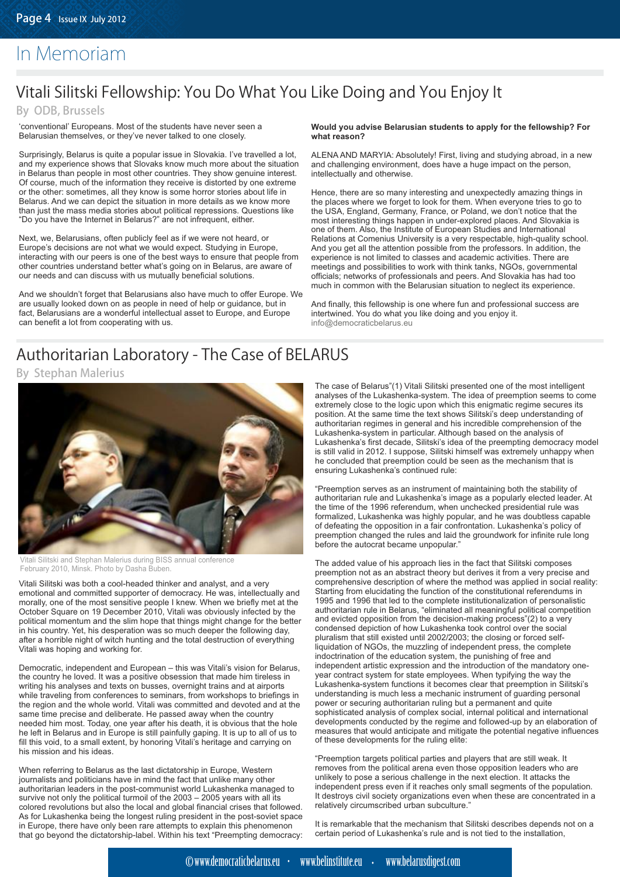## In Memoriam

## Vitali Silitski Fellowship: You Do What You Like Doing and You Enjoy It

By ODB, Brussels

'conventional' Europeans. Most of the students have never seen a Belarusian themselves, or they've never talked to one closely.

Surprisingly, Belarus is quite a popular issue in Slovakia. I've travelled a lot, and my experience shows that Slovaks know much more about the situation in Belarus than people in most other countries. They show genuine interest. Of course, much of the information they receive is distorted by one extreme or the other: sometimes, all they know is some horror stories about life in Belarus. And we can depict the situation in more details as we know more than just the mass media stories about political repressions. Questions like "Do you have the Internet in Belarus?" are not infrequent, either.

Next, we, Belarusians, often publicly feel as if we were not heard, or Europe's decisions are not what we would expect. Studying in Europe, interacting with our peers is one of the best ways to ensure that people from other countries understand better what's going on in Belarus, are aware of our needs and can discuss with us mutually beneficial solutions.

And we shouldn't forget that Belarusians also have much to offer Europe. We are usually looked down on as people in need of help or guidance, but in fact, Belarusians are a wonderful intellectual asset to Europe, and Europe can benefit a lot from cooperating with us.

#### **Would you advise Belarusian students to apply for the fellowship? For what reason?**

ALENA AND MARYIA: Absolutely! First, living and studying abroad, in a new and challenging environment, does have a huge impact on the person, intellectually and otherwise.

Henсe, there are so many interesting and unexpectedly amazing things in the places where we forget to look for them. When everyone tries to go to the USA, England, Germany, France, or Poland, we don't notice that the most interesting things happen in under-explored places. And Slovakia is one of them. Also, the Institute of European Studies and International Relations at Comenius University is a very respectable, high-quality school. And you get all the attention possible from the professors. In addition, the experience is not limited to classes and academic activities. There are meetings and possibilities to work with think tanks, NGOs, governmental officials; networks of professionals and peers. And Slovakia has had too much in common with the Belarusian situation to neglect its experience.

And finally, this fellowship is one where fun and professional success are intertwined. You do what you like doing and you enjoy it. info@democraticbelarus.eu

### Authoritarian Laboratory - The Case of BELARUS

By Stephan Malerius



itali Silitski and Stephan Malerius during BISS annual conference February 2010, Minsk. Photo by Dasha Buben.

Vitali Silitski was both a cool-headed thinker and analyst, and a very emotional and committed supporter of democracy. He was, intellectually and morally, one of the most sensitive people I knew. When we briefly met at the October Square on 19 December 2010, Vitali was obviously infected by the political momentum and the slim hope that things might change for the better in his country. Yet, his desperation was so much deeper the following day, after a horrible night of witch hunting and the total destruction of everything Vitali was hoping and working for.

Democratic, independent and European – this was Vitali's vision for Belarus, the country he loved. It was a positive obsession that made him tireless in writing his analyses and texts on busses, overnight trains and at airports while traveling from conferences to seminars, from workshops to briefings in the region and the whole world. Vitali was committed and devoted and at the same time precise and deliberate. He passed away when the country needed him most. Today, one year after his death, it is obvious that the hole he left in Belarus and in Europe is still painfully gaping. It is up to all of us to fill this void, to a small extent, by honoring Vitali's heritage and carrying on his mission and his ideas.

When referring to Belarus as the last dictatorship in Europe, Western journalists and politicians have in mind the fact that unlike many other authoritarian leaders in the post-communist world Lukashenka managed to survive not only the political turmoil of the 2003 – 2005 years with all its colored revolutions but also the local and global financial crises that followed. As for Lukashenka being the longest ruling president in the post-soviet space in Europe, there have only been rare attempts to explain this phenomenon that go beyond the dictatorship-label. Within his text "Preempting democracy: The case of Belarus"(1) Vitali Silitski presented one of the most intelligent analyses of the Lukashenka-system. The idea of preemption seems to come extremely close to the logic upon which this enigmatic regime secures its position. At the same time the text shows Silitski's deep understanding of authoritarian regimes in general and his incredible comprehension of the Lukashenka-system in particular. Although based on the analysis of Lukashenka's first decade, Silitski's idea of the preempting democracy model is still valid in 2012. I suppose, Silitski himself was extremely unhappy when he concluded that preemption could be seen as the mechanism that is ensuring Lukashenka's continued rule:

"Preemption serves as an instrument of maintaining both the stability of authoritarian rule and Lukashenka's image as a popularly elected leader. At the time of the 1996 referendum, when unchecked presidential rule was formalized, Lukashenka was highly popular, and he was doubtless capable of defeating the opposition in a fair confrontation. Lukashenka's policy of preemption changed the rules and laid the groundwork for infinite rule long before the autocrat became unpopular."

The added value of his approach lies in the fact that Silitski composes preemption not as an abstract theory but derives it from a very precise and comprehensive description of where the method was applied in social reality: Starting from elucidating the function of the constitutional referendums in 1995 and 1996 that led to the complete institutionalization of personalistic authoritarian rule in Belarus, "eliminated all meaningful political competition and evicted opposition from the decision-making process"(2) to a very condensed depiction of how Lukashenka took control over the social pluralism that still existed until 2002/2003; the closing or forced selfliquidation of NGOs, the muzzling of independent press, the complete indoctrination of the education system, the punishing of free and independent artistic expression and the introduction of the mandatory oneyear contract system for state employees. When typifying the way the Lukashenka-system functions it becomes clear that preemption in Silitski's understanding is much less a mechanic instrument of guarding personal power or securing authoritarian ruling but a permanent and quite sophisticated analysis of complex social, internal political and international developments conducted by the regime and followed-up by an elaboration of measures that would anticipate and mitigate the potential negative influences of these developments for the ruling elite:

"Preemption targets political parties and players that are still weak. It removes from the political arena even those opposition leaders who are unlikely to pose a serious challenge in the next election. It attacks the independent press even if it reaches only small segments of the population. It destroys civil society organizations even when these are concentrated in a relatively circumscribed urban subculture."

It is remarkable that the mechanism that Silitski describes depends not on a certain period of Lukashenka's rule and is not tied to the installation,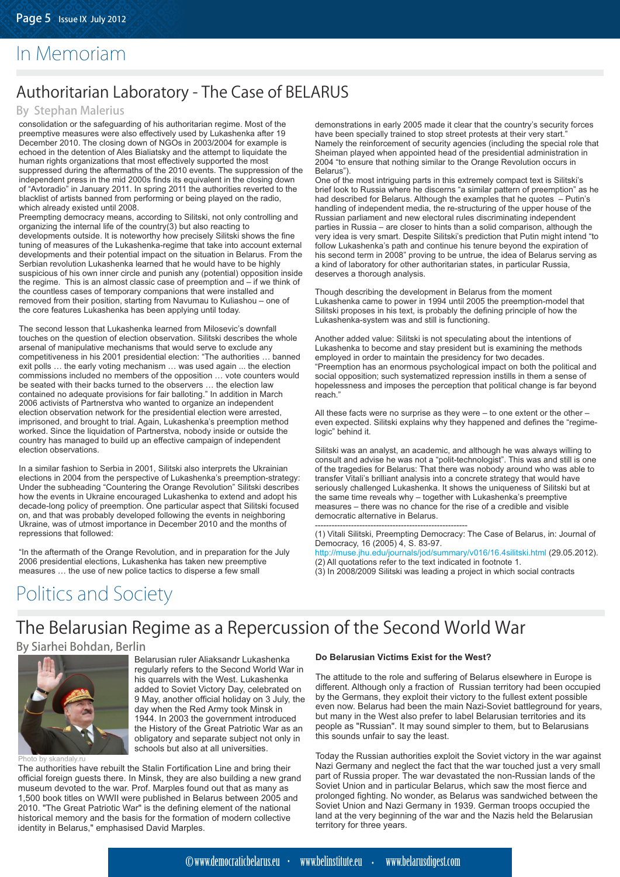## In Memoriam

## Authoritarian Laboratory - The Case of BELARUS

#### By Stephan Malerius

consolidation or the safeguarding of his authoritarian regime. Most of the preemptive measures were also effectively used by Lukashenka after 19 December 2010. The closing down of NGOs in 2003/2004 for example is echoed in the detention of Ales Bialiatsky and the attempt to liquidate the human rights organizations that most effectively supported the most suppressed during the aftermaths of the 2010 events. The suppression of the independent press in the mid 2000s finds its equivalent in the closing down of "Avtoradio" in January 2011. In spring 2011 the authorities reverted to the blacklist of artists banned from performing or being played on the radio, which already existed until 2008.

Preempting democracy means, according to Silitski, not only controlling and organizing the internal life of the country(3) but also reacting to developments outside. It is noteworthy how precisely Silitski shows the fine tuning of measures of the Lukashenka-regime that take into account external developments and their potential impact on the situation in Belarus. From the Serbian revolution Lukashenka learned that he would have to be highly suspicious of his own inner circle and punish any (potential) opposition inside the regime. This is an almost classic case of preemption and – if we think of the countless cases of temporary companions that were installed and removed from their position, starting from Navumau to Kuliashou – one of the core features Lukashenka has been applying until today.

The second lesson that Lukashenka learned from Milosevic's downfall touches on the question of election observation. Silitski describes the whole arsenal of manipulative mechanisms that would serve to exclude any competitiveness in his 2001 presidential election: "The authorities … banned exit polls … the early voting mechanism … was used again ... the election commissions included no members of the opposition … vote counters would be seated with their backs turned to the observers … the election law contained no adequate provisions for fair balloting." In addition in March 2006 activists of Partnerstva who wanted to organize an independent election observation network for the presidential election were arrested, imprisoned, and brought to trial. Again, Lukashenka's preemption method worked. Since the liquidation of Partnerstva, nobody inside or outside the country has managed to build up an effective campaign of independent election observations.

In a similar fashion to Serbia in 2001, Silitski also interprets the Ukrainian elections in 2004 from the perspective of Lukashenka's preemption-strategy: Under the subheading "Countering the Orange Revolution" Silitski describes how the events in Ukraine encouraged Lukashenka to extend and adopt his decade-long policy of preemption. One particular aspect that Silitski focused on, and that was probably developed following the events in neighboring Ukraine, was of utmost importance in December 2010 and the months of repressions that followed:

"In the aftermath of the Orange Revolution, and in preparation for the July 2006 presidential elections, Lukashenka has taken new preemptive measures … the use of new police tactics to disperse a few small

demonstrations in early 2005 made it clear that the country's security forces have been specially trained to stop street protests at their very start. Namely the reinforcement of security agencies (including the special role that Sheiman played when appointed head of the presidential administration in 2004 "to ensure that nothing similar to the Orange Revolution occurs in Belarus").

One of the most intriguing parts in this extremely compact text is Silitski's brief look to Russia where he discerns "a similar pattern of preemption" as he had described for Belarus. Although the examples that he quotes – Putin's handling of independent media, the re-structuring of the upper house of the Russian parliament and new electoral rules discriminating independent parties in Russia – are closer to hints than a solid comparison, although the very idea is very smart. Despite Silitski's prediction that Putin might intend "to follow Lukashenka's path and continue his tenure beyond the expiration of his second term in 2008" proving to be untrue, the idea of Belarus serving as a kind of laboratory for other authoritarian states, in particular Russia, deserves a thorough analysis.

Though describing the development in Belarus from the moment Lukashenka came to power in 1994 until 2005 the preemption-model that Silitski proposes in his text, is probably the defining principle of how the Lukashenka-system was and still is functioning.

Another added value: Silitski is not speculating about the intentions of Lukashenka to become and stay president but is examining the methods employed in order to maintain the presidency for two decades. "Preemption has an enormous psychological impact on both the political and social opposition; such systematized repression instills in them a sense of hopelessness and imposes the perception that political change is far beyond reach."

All these facts were no surprise as they were – to one extent or the other – even expected. Silitski explains why they happened and defines the "regimelogic" behind it.

Silitski was an analyst, an academic, and although he was always willing to consult and advise he was not a "polit-technologist". This was and still is one of the tragedies for Belarus: That there was nobody around who was able to transfer Vitali's brilliant analysis into a concrete strategy that would have seriously challenged Lukashenka. It shows the uniqueness of Silitski but at the same time reveals why – together with Lukashenka's preemptive measures – there was no chance for the rise of a credible and visible democratic alternative in Belarus.

------------------------------------------------------- (1) Vitali Silitski, Preempting Democracy: The Case of Belarus, in: Journal of Democracy, 16 (2005) 4, S. 83-97. http://muse.jhu.edu/journals/jod/summary/v016/16.4silitski.html (29.05.2012).

(2) All quotations refer to the text indicated in footnote 1.

(3) In 2008/2009 Silitski was leading a project in which social contracts

## Politics and Society

## The Belarusian Regime as a Repercussion of the Second World War

#### By Siarhei Bohdan, Berlin



Belarusian ruler Aliaksandr Lukashenka regularly refers to the Second World War in his quarrels with the West. Lukashenka added to Soviet Victory Day, celebrated on 9 May, another official holiday on 3 July, the day when the Red Army took Minsk in 1944. In 2003 the government introduced the History of the Great Patriotic War as an obligatory and separate subject not only in schools but also at all universities.

Photo by skandaly.ru

The authorities have rebuilt the Stalin Fortification Line and bring their official foreign guests there. In Minsk, they are also building a new grand museum devoted to the war. Prof. Marples found out that as many as 1,500 book titles on WWII were published in Belarus between 2005 and 2010. "The Great Patriotic War" is the defining element of the national historical memory and the basis for the formation of modern collective identity in Belarus," emphasised David Marples.

#### **Do Belarusian Victims Exist for the West?**

The attitude to the role and suffering of Belarus elsewhere in Europe is different. Although only a fraction of Russian territory had been occupied by the Germans, they exploit their victory to the fullest extent possible even now. Belarus had been the main Nazi-Soviet battleground for years, but many in the West also prefer to label Belarusian territories and its people as "Russian". It may sound simpler to them, but to Belarusians this sounds unfair to say the least.

Today the Russian authorities exploit the Soviet victory in the war against Nazi Germany and neglect the fact that the war touched just a very small part of Russia proper. The war devastated the non-Russian lands of the Soviet Union and in particular Belarus, which saw the most fierce and prolonged fighting. No wonder, as Belarus was sandwiched between the Soviet Union and Nazi Germany in 1939. German troops occupied the land at the very beginning of the war and the Nazis held the Belarusian territory for three years.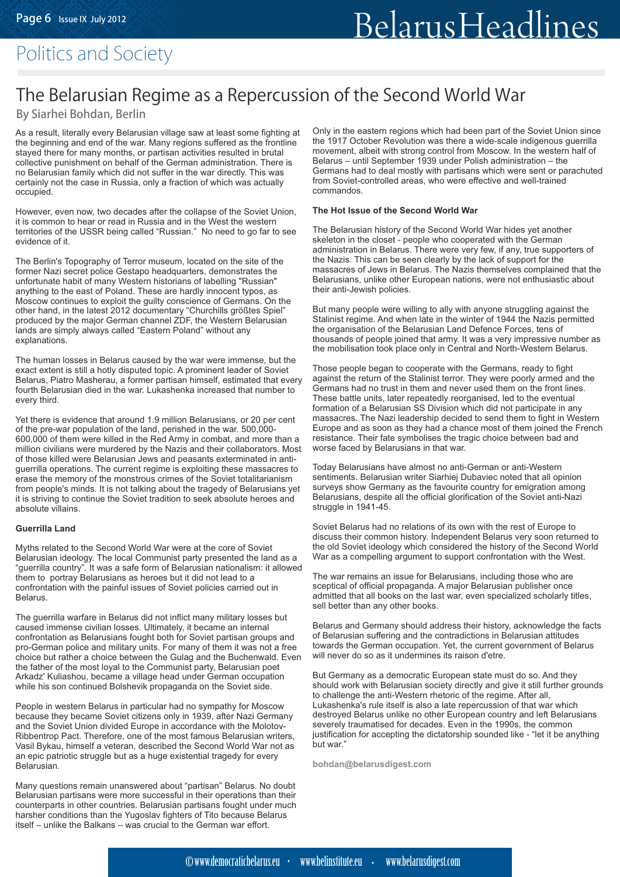## Politics and Society

## The Belarusian Regime as a Repercussion of the Second World War

#### By Siarhei Bohdan, Berlin

As a result, literally every Belarusian village saw at least some fighting at the beginning and end of the war. Many regions suffered as the frontline stayed there for many months, or partisan activities resulted in brutal collective punishment on behalf of the German administration. There is no Belarusian family which did not suffer in the war directly. This was certainly not the case in Russia, only a fraction of which was actually occupied.

However, even now, two decades after the collapse of the Soviet Union, it is common to hear or read in Russia and in the West the western territories of the USSR being called "Russian." No need to go far to see evidence of it.

The Berlin's Topography of Terror museum, located on the site of the former Nazi secret police Gestapo headquarters, demonstrates the unfortunate habit of many Western historians of labelling "Russian" anything to the east of Poland. These are hardly innocent typos, as Moscow continues to exploit the guilty conscience of Germans. On the other hand, in the latest 2012 documentary "Churchills größtes Spiel" produced by the major German channel ZDF, the Western Belarusian lands are simply always called "Eastern Poland" without any explanations.

The human losses in Belarus caused by the war were immense, but the exact extent is still a hotly disputed topic. A prominent leader of Soviet Belarus, Piatro Masherau, a former partisan himself, estimated that every fourth Belarusian died in the war. Lukashenka increased that number to every third.

Yet there is evidence that around 1.9 million Belarusians, or 20 per cent of the pre-war population of the land, perished in the war. 500,000- 600,000 of them were killed in the Red Army in combat, and more than a million civilians were murdered by the Nazis and their collaborators. Most of those killed were Belarusian Jews and peasants exterminated in antiguerrilla operations. The current regime is exploiting these massacres to erase the memory of the monstrous crimes of the Soviet totalitarianism from people's minds. It is not talking about the tragedy of Belarusians yet it is striving to continue the Soviet tradition to seek absolute heroes and absolute villains.

#### **Guerrilla Land**

Myths related to the Second World War were at the core of Soviet Belarusian ideology. The local Communist party presented the land as a "guerrilla country". It was a safe form of Belarusian nationalism: it allowed them to portray Belarusians as heroes but it did not lead to a confrontation with the painful issues of Soviet policies carried out in Belarus.

The guerrilla warfare in Belarus did not inflict many military losses but caused immense civilian losses. Ultimately, it became an internal confrontation as Belarusians fought both for Soviet partisan groups and pro-German police and military units. For many of them it was not a free choice but rather a choice between the Gulag and the Buchenwald. Even the father of the most loyal to the Communist party, Belarusian poet Arkadz' Kuliashou, became a village head under German occupation while his son continued Bolshevik propaganda on the Soviet side.

People in western Belarus in particular had no sympathy for Moscow because they became Soviet citizens only in 1939, after Nazi Germany and the Soviet Union divided Europe in accordance with the Molotov-Ribbentrop Pact. Therefore, one of the most famous Belarusian writers, Vasil Bykau, himself a veteran, described the Second World War not as an epic patriotic struggle but as a huge existential tragedy for every Belarusian.

Many questions remain unanswered about "partisan" Belarus. No doubt Belarusian partisans were more successful in their operations than their counterparts in other countries. Belarusian partisans fought under much harsher conditions than the Yugoslav fighters of Tito because Belarus itself – unlike the Balkans – was crucial to the German war effort.

Only in the eastern regions which had been part of the Soviet Union since the 1917 October Revolution was there a wide-scale indigenous guerrilla movement, albeit with strong control from Moscow. In the western half of Belarus – until September 1939 under Polish administration – the Germans had to deal mostly with partisans which were sent or parachuted from Soviet-controlled areas, who were effective and well-trained commandos.

#### **The Hot Issue of the Second World War**

The Belarusian history of the Second World War hides yet another skeleton in the closet - people who cooperated with the German administration in Belarus. There were very few, if any, true supporters of the Nazis. This can be seen clearly by the lack of support for the massacres of Jews in Belarus. The Nazis themselves complained that the Belarusians, unlike other European nations, were not enthusiastic about their anti-Jewish policies.

But many people were willing to ally with anyone struggling against the Stalinist regime. And when late in the winter of 1944 the Nazis permitted the organisation of the Belarusian Land Defence Forces, tens of thousands of people joined that army. It was a very impressive number as the mobilisation took place only in Central and North-Western Belarus.

Those people began to cooperate with the Germans, ready to fight against the return of the Stalinist terror. They were poorly armed and the Germans had no trust in them and never used them on the front lines. These battle units, later repeatedly reorganised, led to the eventual formation of a Belarusian SS Division which did not participate in any massacres. The Nazi leadership decided to send them to fight in Western Europe and as soon as they had a chance most of them joined the French resistance. Their fate symbolises the tragic choice between bad and worse faced by Belarusians in that war.

Today Belarusians have almost no anti-German or anti-Western sentiments. Belarusian writer Siarhiej Dubaviec noted that all opinion surveys show Germany as the favourite country for emigration among Belarusians, despite all the official glorification of the Soviet anti-Nazi struggle in 1941-45.

Soviet Belarus had no relations of its own with the rest of Europe to discuss their common history. Independent Belarus very soon returned to the old Soviet ideology which considered the history of the Second World War as a compelling argument to support confrontation with the West.

The war remains an issue for Belarusians, including those who are sceptical of official propaganda. A major Belarusian publisher once admitted that all books on the last war, even specialized scholarly titles, sell better than any other books.

Belarus and Germany should address their history, acknowledge the facts of Belarusian suffering and the contradictions in Belarusian attitudes towards the German occupation. Yet, the current government of Belarus will never do so as it undermines its raison d'etre.

But Germany as a democratic European state must do so. And they should work with Belarusian society directly and give it still further grounds to challenge the anti-Western rhetoric of the regime. After all, Lukashenka's rule itself is also a late repercussion of that war which destroyed Belarus unlike no other European country and left Belarusians severely traumatised for decades. Even in the 1990s, the common justification for accepting the dictatorship sounded like - "let it be anything but war."

**bohdan@belarusdigest.com**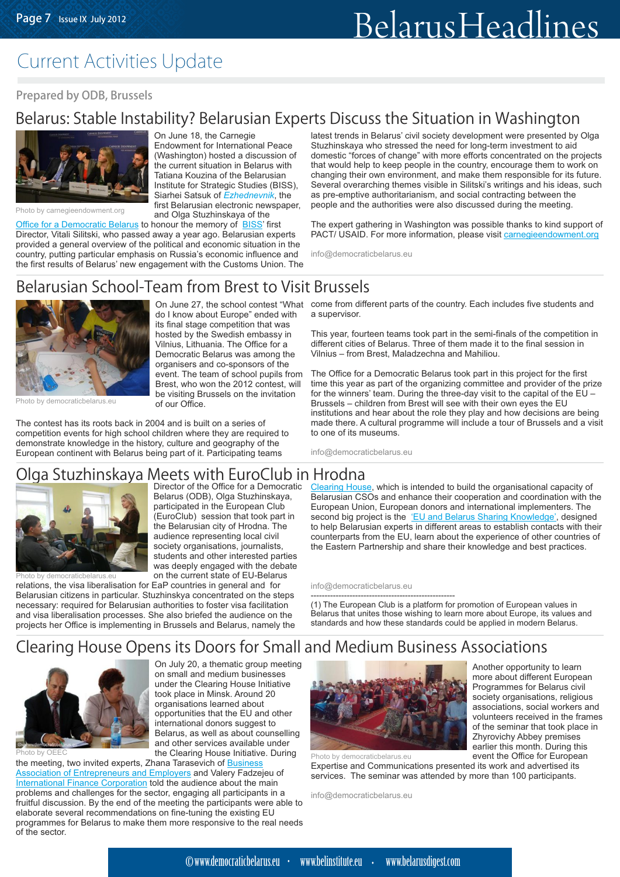## Current Activities Update

#### Prepared by ODB, Brussels

## Belarus: Stable Instability? Belarusian Experts Discuss the Situation in Washington



Photo by carnegieendowment.org

On June 18, the Carnegie Endowment for International Peace (Washington) hosted a discussion of the current situation in Belarus with Tatiana Kouzina of the Belarusian Institute for Strategic Studies (BISS), SiarheiSatsuk of Ezhednevnik, the first Belarusian electronic newspaper, and Olga Stuzhinskaya of the

do I know about Europe" ended with its final stage competition that was hosted by the Swedish embassy in Vilnius, Lithuania. The Office for a Democratic Belarus was among the organisers and co-sponsors of the event. The team of school pupils from Brest, who won the 2012 contest, will

[Office for a Democratic Belarus](http://democraticbelarus.eu/node/1759) to honour the memory of **BISS'** first Director, Vitali Silitski, who passed away a year ago. Belarusian experts provided a general overview of the political and economic situation in the country, putting particular emphasis on Russia's economic influence and the first results of Belarus' new engagement with the Customs Union. The

latest trends in Belarus' civil society development were presented by Olga Stuzhinskaya who stressed the need for long-term investment to aid domestic "forces of change" with more efforts concentrated on the projects that would help to keep people in the country, encourage them to work on changing their own environment, and make them responsible for its future. Several overarching themes visible in Silitski's writings and his ideas, such as pre-emptive authoritarianism, and social contracting between the people and the authorities were also discussed during the meeting.

The expert gathering in Washington was possible thanks to kind support of PACT/ USAID. For more information, please visit [carnegieendowment.org](http://carnegieendowment.org)

info@democraticbelarus.eu

### Belarusian School-Team from Brest to Visit Brussels



Photo by democraticbelarus.eu

be visiting Brussels on the invitation of our Office. The contest has its roots back in 2004 and is built on a series of competition events for high school children where they are required to demonstrate knowledge in the history, culture and geography of the European continent with Belarus being part of it. Participating teams

On June 27, the school contest "What come from different parts of the country. Each includes five students and a supervisor.

> This year, fourteen teams took part in the semi-finals of the competition in different cities of Belarus. Three of them made it to the final session in Vilnius – from Brest, Maladzechna and Mahiliou.

The Office for a Democratic Belarus took part in this project for the first time this year as part of the organizing committee and provider of the prize for the winners' team. During the three-day visit to the capital of the EU – Brussels – children from Brest will see with their own eyes the EU institutions and hear about the role they play and how decisions are being made there. A cultural programme will include a tour of Brussels and a visit to one of its museums.

info@democraticbelarus.eu

#### Director of the Office for a Democratic Olga Stuzhinskaya Meets with EuroClub in Hrodna

Belarus (ODB), Olga Stuzhinskaya, participated in the European Club (EuroClub) session that took part in the Belarusian city of Hrodna. The audience representing local civil society organisations, journalists, students and other interested parties was deeply engaged with the debate on the current state of EU-Belarus

On July 20, a thematic group meeting on small and medium businesses under the Clearing House Initiative took place in Minsk. Around 20 organisations learned about



Photo by democraticbelarus.eu

relations, the visa liberalisation for EaP countries in general and for Belarusian citizens in particular. Stuzhinskya concentrated on the steps necessary: required for Belarusian authorities to foster visa facilitation and visa liberalisation processes. She also briefed the audience on the projects her Office is implementing in Brussels and Belarus, namely the

Clearing House, which is intended to build the organisational capacity of second big project is the 'EU and Belarus Sharing Knowledge', designed Belarusian CSOs and enhance their cooperation and coordination with the European Union, European donors and international implementers. The to help Belarusian experts in different areas to establish contacts with their counterparts from the EU, learn about the experience of other countries of the Eastern Partnership and share their knowledge and best practices.

info@democraticbelarus.eu

---------------------------------------------------- (1) The European Club is a platform for promotion of European values in Belarus that unites those wishing to learn more about Europe, its values and standards and how these standards could be applied in modern Belarus.

## Clearing House Opens its Doors for Small and Medium Business Associations



opportunities that the EU and other international donors suggest to Belarus, as well as about counselling and other services available under Photo by OEEC<br>
The Clearing House Initiative. During Photo by democraticbelarus.eu the meeting, two invited experts, Zhana Tarasevich of <u>Business</u> [Association of Entrepreneurs and Employers](http://bspn.by/Table/English/) and Valery Fadzejeu of International Finance Corporation told the audience about the main problems and challenges for the sector, engaging all participants in a Director of the Office is the [Clearing House](http://democraticbelarus.eu/news/clearing-house-project) Clearing Changes and Clearing Clearing Clearing Clearing Clearing Clearing Clearing Clearing Clearing Clearing Clearing Clearing Clearing Clearing Clearing Clearing Clearing Cle

fruitful discussion. By the end of the meeting the participants were able to elaborate several recommendations on fine-tuning the existing EU programmes for Belarus to make them more responsive to the real needs of the sector.



Programmes for Belarus civil society organisations, religious associations, social workers and volunteers received in the frames of the seminar that took place in Zhyrovichy Abbey premises earlier this month. During this event the Office for European

Another opportunity to learn more about different European

Expertise and Communications presented its work and advertised its services. The seminar was attended by more than 100 participants.

info@democraticbelarus.eu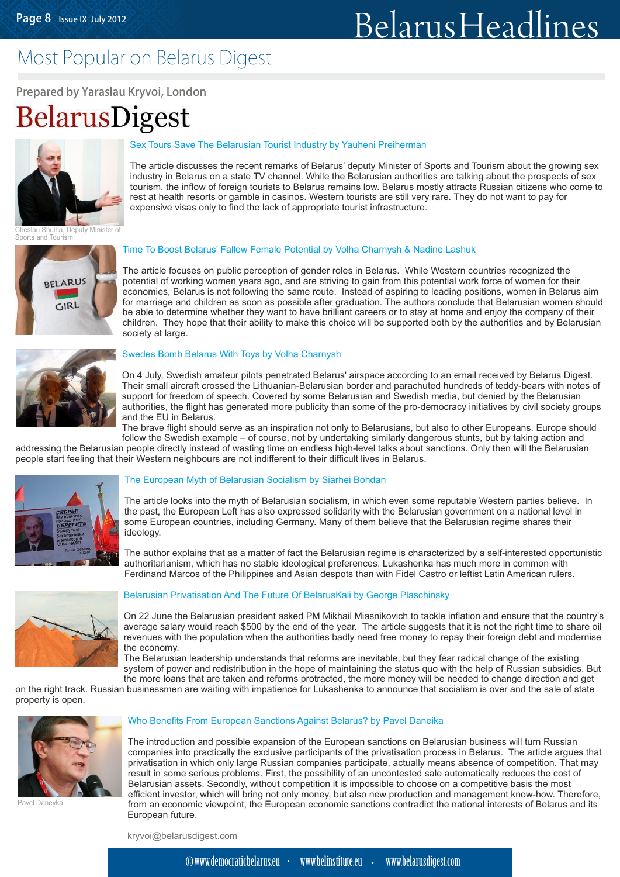## Most Popular on Belarus Digest

Prepared by Yaraslau Kryvoi, London

BelarusDigest



#### [Sex Tours Save The Belarusian Tourist Industry by Yauheni Preiherman](http://belarusdigest.com/story/sex-tours-save-belarusian-tourist-industry-9664)

The article discusses the recent remarks of Belarus' deputy Minister of Sports and Tourism about the growing sex industry in Belarus on a state TV channel. While the Belarusian authorities are talking about the prospects of sex tourism, the inflow of foreign tourists to Belarus remains low. Belarus mostly attracts Russian citizens who come to rest at health resorts or gamble in casinos. Western tourists are still very rare. They do not want to pay for expensive visas only to find the lack of appropriate tourist infrastructure.

Iha, Deputy Minister of Sports and Tourism



#### [Time To Boost Belarus' Fallow Female Potential by Volha Charnysh & Nadine Lashuk](http://belarusdigest.com/story/time-boost-belarus%E2%80%99-fallow-female-potential-9763)

The article focuses on public perception of gender roles in Belarus. While Western countries recognized the potential of working women years ago, and are striving to gain from this potential work force of women for their economies, Belarus is not following the same route. Instead of aspiring to leading positions, women in Belarus aim for marriage and children as soon as possible after graduation. The authors conclude that Belarusian women should be able to determine whether they want to have brilliant careers or to stay at home and enjoy the company of their children. They hope that their ability to make this choice will be supported both by the authorities and by Belarusian society at large. Industry by Yauheni Preiherman<br>
sof Belarus' deputy Minister of Sport<br>
ell. While the Belarusia nauhtorities a<br>
Belarus remains low. Belarus mostly<br>
os. Western tourists are still very rare<br>
appropriate tourist since still



#### [Swedes Bomb Belarus With Toys by Volha Charnysh](http://belarusdigest.com/story/swedes-bomb-belarus-toys-9997)

On 4 July, Swedish amateur pilots penetrated Belarus' airspace according to an email received by Belarus Digest. Their small aircraft crossed the Lithuanian-Belarusian border and parachuted hundreds of teddy-bears with notes of support for freedom of speech. Covered by some Belarusian and Swedish media, but denied by the Belarusian authorities, the flight has generated more publicity than some of the pro-democracy initiatives by civil society groups and the EU in Belarus.

The brave flight should serve as an inspiration not only to Belarusians, but also to other Europeans. Europe should follow the Swedish example – of course, not by undertaking similarly dangerous stunts, but by taking action and

addressing the Belarusian people directly instead of wasting time on endless high-level talks about sanctions. Only then will the Belarusian people start feeling that their Western neighbours are not indifferent to their difficult lives in Belarus.



#### [The European Myth of Belarusian Socialism by Siarhei Bohdan](http://belarusdigest.com/story/european-myth-belarusian-socialism-9665)

The article looks into the myth of Belarusian socialism, in which even some reputable Western parties believe. In the past, the European Left has also expressed solidarity with the Belarusian government on a national level in some European countries, including Germany. Many of them believe that the Belarusian regime shares their ideology.

The author explains that as a matter of fact the Belarusian regime is characterized by a self-interested opportunistic authoritarianism, which has no stable ideological preferences. Lukashenka has much more in common with Ferdinand Marcos of the Philippines and Asian despots than with Fidel Castro or leftist Latin American rulers.



#### [Belarusian Privatisation And The Future Of BelarusKali by George Plaschinsky](http://belarusdigest.com/story/belarusian-privatisation-and-future-belaruskali-9835)

On 22 June the Belarusian president asked PM Mikhail Miasnikovich to tackle inflation and ensure that the country's average salary would reach \$500 by the end of the year. The article suggests that it is not the right time to share oil revenues with the population when the authorities badly need free money to repay their foreign debt and modernise the economy.

The Belarusian leadership understands that reforms are inevitable, but they fear radical change of the existing system of power and redistribution in the hope of maintaining the status quo with the help of Russian subsidies. But the more loans that are taken and reforms protracted, the more money will be needed to change direction and get

on the right track. Russian businessmen are waiting with impatience for Lukashenka to announce that socialism is over and the sale of state property is open.



avel Daneyka

#### [Who Benefits From European Sanctions Against Belarus? by Pavel Daneika](http://belarusdigest.com/story/who-benefits-european-sanctions-against-belarus-9836)

The introduction and possible expansion of the European sanctions on Belarusian business will turn Russian companies into practically the exclusive participants of the privatisation process in Belarus. The article argues that privatisation in which only large Russian companies participate, actually means absence of competition. That may result in some serious problems. First, the possibility of an uncontested sale automatically reduces the cost of Belarusian assets. Secondly, without competition it is impossible to choose on a competitive basis the most efficient investor, which will bring not only money, but also new production and management know-how. Therefore, from an economic viewpoint, the European economic sanctions contradict the national interests of Belarus and its European future.

kryvoi@belarusdigest.com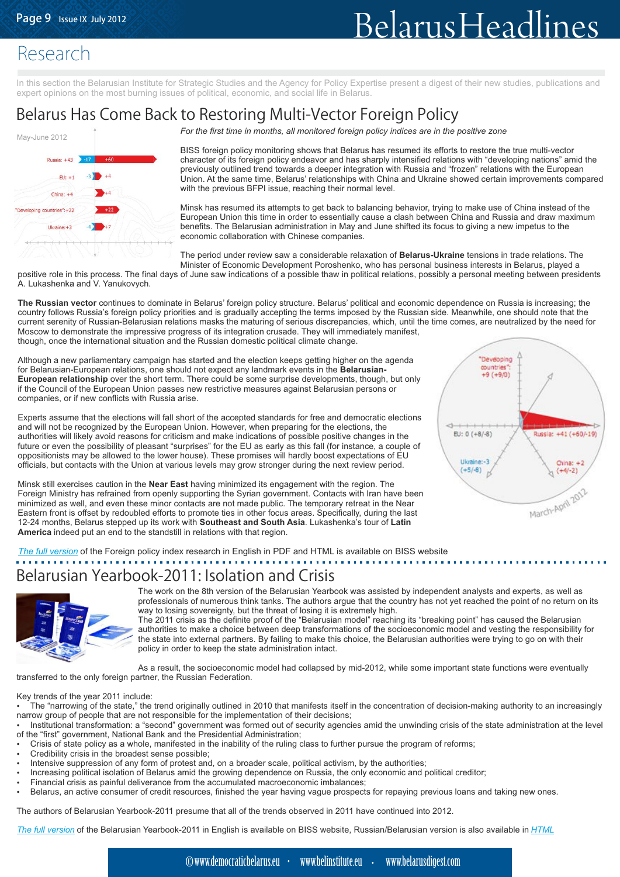"Deveoping countries  $+9(+9/0)$ 

Rissla: +41 (+60/-19)

 $On<sub>max</sub> + 2$ 

 $(+4/-2)$ 

March-April 2012

 $F1: 0$   $(+8/ -8)$ 

Ukraine:-3

 $(+5/ -8)$ 

## Research

In this section the Belarusian Institute for Strategic Studies and the Agency for Policy Expertise present a digest of their new studies, publications and expert opinions on the most burning issues of political, economic, and social life in Belarus.

## Belarus Has Come Back to Restoring Multi-Vector Foreign Policy



*For the first time in months, all monitored foreign policy indices are in the positive zone*

BISS foreign policy monitoring shows that Belarus has resumed its efforts to restore the true multi-vector character of its foreign policy endeavor and has sharply intensified relations with "developing nations" amid the previously outlined trend towards a deeper integration with Russia and "frozen" relations with the European Union. At the same time, Belarus' relationships with China and Ukraine showed certain improvements compared with the previous BFPI issue, reaching their normal level.

Minsk has resumed its attempts to get back to balancing behavior, trying to make use of China instead of the European Union this time in order to essentially cause a clash between China and Russia and draw maximum benefits. The Belarusian administration in May and June shifted its focus to giving a new impetus to the economic collaboration with Chinese companies.

The period under review saw a considerable relaxation of **Belarus-Ukraine** tensions in trade relations. The Minister of Economic Development Poroshenko, who has personal business interests in Belarus, played a

positive role in this process. The final days of June saw indications of a possible thaw in political relations, possibly a personal meeting between presidents A. Lukashenka and V. Yanukovych.

**The Russian vector** continues to dominate in Belarus' foreign policy structure. Belarus' political and economic dependence on Russia is increasing; the country follows Russia's foreign policy priorities and is gradually accepting the terms imposed by the Russian side. Meanwhile, one should note that the current serenity of Russian-Belarusian relations masks the maturing of serious discrepancies, which, until the time comes, are neutralized by the need for Moscow to demonstrate the impressive progress of its integration crusade. They will immediately manifest, though, once the international situation and the Russian domestic political climate change.

Although a new parliamentary campaign has started and the election keeps getting higher on the agenda for Belarusian-European relations, one should not expect any landmark events in the **Belarusian-European relationship** over the short term. There could be some surprise developments, though, but only if the Council of the European Union passes new restrictive measures against Belarusian persons or companies, or if new conflicts with Russia arise.

Experts assume that the elections will fall short of the accepted standards for free and democratic elections and will not be recognized by the European Union. However, when preparing for the elections, the authorities will likely avoid reasons for criticism and make indications of possible positive changes in the future or even the possibility of pleasant "surprises" for the EU as early as this fall (for instance, a couple of oppositionists may be allowed to the lower house). These promises will hardly boost expectations of EU officials, but contacts with the Union at various levels may grow stronger during the next review period.

Minsk still exercises caution in the **Near East** having minimized its engagement with the region. The Foreign Ministry has refrained from openly supporting the Syrian government. Contacts with Iran have been minimized as well, and even these minor contacts are not made public. The temporary retreat in the Near Eastern front is offset by redoubled efforts to promote ties in other focus areas. Specifically, during the last 12-24 months, Belarus stepped up its work with **Southeast and South Asia**. Lukashenka's tour of **Latin America** indeed put an end to the standstill in relations with that region.



#### Belarusian Yearbook-2011: Isolation and Crisis



The work on the 8th version of the Belarusian Yearbook was assisted by independent analysts and experts, as well as professionals of numerous think tanks. The authors argue that the country has not yet reached the point of no return on its way to losing sovereignty, but the threat of losing it is extremely high.

The 2011 crisis as the definite proof of the "Belarusian model" reaching its "breaking point" has caused the Belarusian authorities to make a choice between deep transformations of the socioeconomic model and vesting the responsibility for the state into external partners. By failing to make this choice, the Belarusian authorities were trying to go on with their policy in order to keep the state administration intact.

As a result, the socioeconomic model had collapsed by mid-2012, while some important state functions were eventually transferred to the only foreign partner, the Russian Federation.

Key trends of the year 2011 include:

- The "narrowing of the state," the trend originally outlined in 2010 that manifests itself in the concentration of decision-making authority to an increasingly narrow group of people that are not responsible for the implementation of their decisions; џ
- Institutional transformation: a "second" government was formed out of security agencies amid the unwinding crisis of the state administration at the level of the "first" government, National Bank and the Presidential Administration; џ
- Crisis of state policy as a whole, manifested in the inability of the ruling class to further pursue the program of reforms; џ
- Credibility crisis in the broadest sense possible; џ
- Intensive suppression of any form of protest and, on a broader scale, political activism, by the authorities; џ
- Increasing political isolation of Belarus amid the growing dependence on Russia, the only economic and political creditor; џ
- Financial crisis as painful deliverance from the accumulated macroeconomic imbalances; џ
- Belarus, an active consumer of credit resources, finished the year having vague prospects for repaying previous loans and taking new ones. џ

The authors of Belarusian Yearbook-2011 presume that all of the trends observed in 2011 have continued into 2012.

*[The full version](http://belinstitute.eu/images/doc-pdf/ej_2011_engl.pdf)* of the Belarusian Yearbook-2011 in English is available on BISS website, Russian/Belarusian version is also available in <u>[HTML](http://www.belinstitute.eu/by-2011ru/kontents11-ru.html)</u>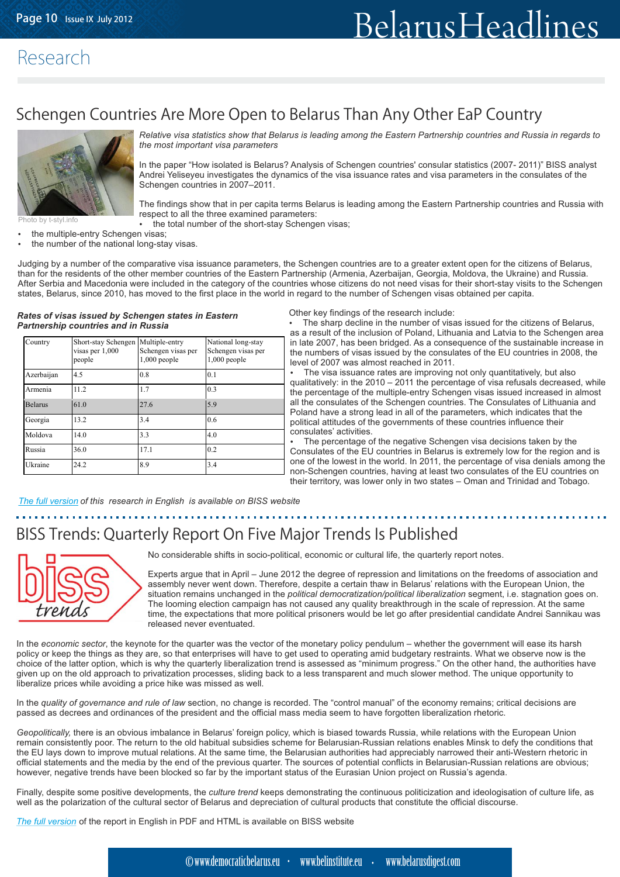### Research

## Schengen Countries Are More Open to Belarus Than Any Other EaP Country



*Relative visa statistics show that Belarus is leading among the Eastern Partnership countries and Russia in regards to the most important visa parameters*

In the paper "How isolated is Belarus? Analysis of Schengen countries' consular statistics (2007- 2011)" BISS analyst Andrei Yeliseyeu investigates the dynamics of the visa issuance rates and visa parameters in the consulates of the Schengen countries in 2007–2011.

The findings show that in per capita terms Belarus is leading among the Eastern Partnership countries and Russia with respect to all the three examined parameters:

the total number of the short-stay Schengen visas; џ

- the multiple-entry Schengen visas; џ
- the number of the national long-stay visas. џ

Judging by a number of the comparative visa issuance parameters, the Schengen countries are to a greater extent open for the citizens of Belarus, than for the residents of the other member countries of the Eastern Partnership (Armenia, Azerbaijan, Georgia, Moldova, the Ukraine) and Russia. After Serbia and Macedonia were included in the category of the countries whose citizens do not need visas for their short-stay visits to the Schengen states, Belarus, since 2010, has moved to the first place in the world in regard to the number of Schengen visas obtained per capita.

#### *Rates of visas issued by Schengen states in Eastern Partnership countries and in Russia*

| Country        | Short-stay Schengen Multiple-entry<br>visas per 1,000<br>people | Schengen visas per<br>$1,000$ people | National long-stay<br>Schengen visas per<br>$1,000$ people |
|----------------|-----------------------------------------------------------------|--------------------------------------|------------------------------------------------------------|
| Azerbaijan     | 4.5                                                             | 0.8                                  | 0.1                                                        |
| Armenia        | 11.2                                                            | 1.7                                  | 0.3                                                        |
| <b>Belarus</b> | 61.0                                                            | 27.6                                 | 5.9                                                        |
| Georgia        | 13.2                                                            | 3.4                                  | 0.6                                                        |
| Moldova        | 14.0                                                            | 3.3                                  | 4.0                                                        |
| Russia         | 36.0                                                            | 17.1                                 | 0.2                                                        |
| Ukraine        | 24.2                                                            | 8.9                                  | 3.4                                                        |

Other key findings of the research include:

The sharp decline in the number of visas issued for the citizens of Belarus, as a result of the inclusion of Poland, Lithuania and Latvia to the Schengen area in late 2007, has been bridged. As a consequence of the sustainable increase in the numbers of visas issued by the consulates of the EU countries in 2008, the level of 2007 was almost reached in 2011. џ

The visa issuance rates are improving not only quantitatively, but also qualitatively: in the 2010 – 2011 the percentage of visa refusals decreased, while the percentage of the multiple-entry Schengen visas issued increased in almost all the consulates of the Schengen countries. The Consulates of Lithuania and Poland have a strong lead in all of the parameters, which indicates that the political attitudes of the governments of these countries influence their consulates' activities. џ

The percentage of the negative Schengen visa decisions taken by the Consulates of the EU countries in Belarus is extremely low for the region and is one of the lowest in the world. In 2011, the percentage of visa denials among the non-Schengen countries, having at least two consulates of the EU countries on their territory, was lower only in two states – Oman and Trinidad and Tobago. џ

*The f[ull version](http://belinstitute.eu)* of this research in English is available on BISS website

## BISS Trends: Quarterly Report On Five Major Trends Is Published

No considerable shifts in socio-political, economic or cultural life, the quarterly report notes.

Experts argue that in April – June 2012 the degree of repression and limitations on the freedoms of association and assembly never went down. Therefore, despite a certain thaw in Belarus' relations with the European Union, the situation remains unchanged in the *political democratization/political liberalization* segment, i.e. stagnation goes on. The looming election campaign has not caused any quality breakthrough in the scale of repression. At the same time, the expectations that more political prisoners would be let go after presidential candidate Andrei Sannikau was released never eventuated.

In the *economic sector*, the keynote for the quarter was the vector of the monetary policy pendulum – whether the government will ease its harsh policy or keep the things as they are, so that enterprises will have to get used to operating amid budgetary restraints. What we observe now is the choice of the latter option, which is why the quarterly liberalization trend is assessed as "minimum progress." On the other hand, the authorities have given up on the old approach to privatization processes, sliding back to a less transparent and much slower method. The unique opportunity to liberalize prices while avoiding a price hike was missed as well.

In the *quality of governance and rule of law* section, no change is recorded. The "control manual" of the economy remains; critical decisions are passed as decrees and ordinances of the president and the official mass media seem to have forgotten liberalization rhetoric.

*Geopolitically,* there is an obvious imbalance in Belarus' foreign policy, which is biased towards Russia, while relations with the European Union remain consistently poor. The return to the old habitual subsidies scheme for Belarusian-Russian relations enables Minsk to defy the conditions that the EU lays down to improve mutual relations. At the same time, the Belarusian authorities had appreciably narrowed their anti-Western rhetoric in official statements and the media by the end of the previous quarter. The sources of potential conflicts in Belarusian-Russian relations are obvious; however, negative trends have been blocked so far by the important status of the Eurasian Union project on Russia's agenda.

Finally, despite some positive developments, the *culture trend* keeps demonstrating the continuous politicization and ideologisation of culture life, as well as the polarization of the cultural sector of Belarus and depreciation of cultural products that constitute the official discourse.

*Fhe full version* of the report in English in PDF and HTML is available on BISS website